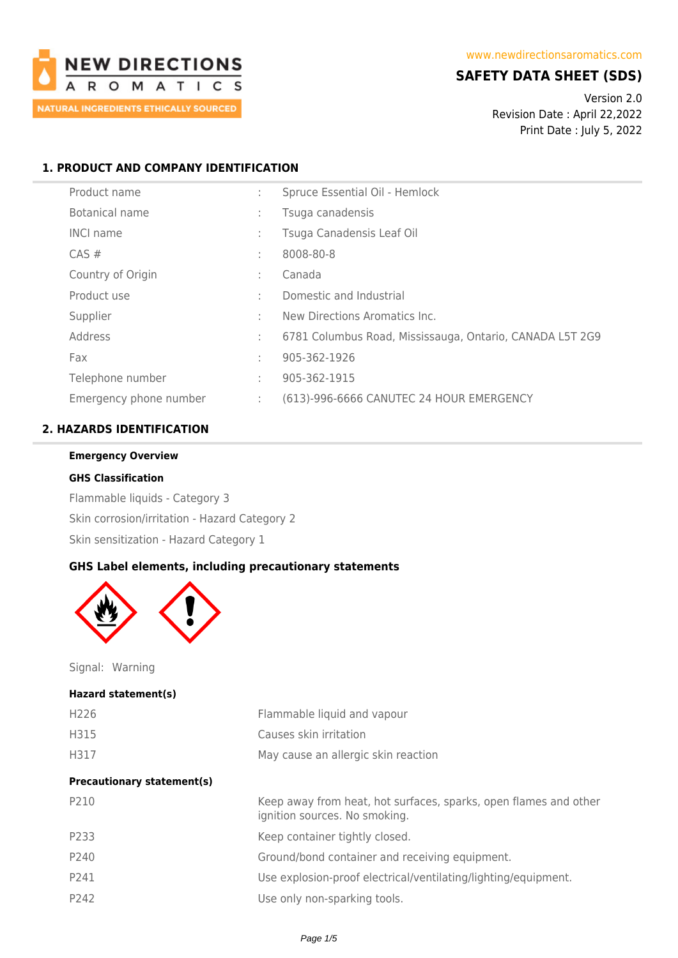

# **SAFETY DATA SHEET (SDS)**

Version 2.0 Revision Date : April 22,2022 Print Date : July 5, 2022

# **1. PRODUCT AND COMPANY IDENTIFICATION**

| Product name           |        | Spruce Essential Oil - Hemlock                           |
|------------------------|--------|----------------------------------------------------------|
| Botanical name         | ÷      | Tsuga canadensis                                         |
| <b>INCI name</b>       | $\sim$ | Tsuga Canadensis Leaf Oil                                |
| $CAS \#$               | ٠      | 8008-80-8                                                |
| Country of Origin      |        | Canada                                                   |
| Product use            | ÷      | Domestic and Industrial                                  |
| Supplier               | ÷      | New Directions Aromatics Inc.                            |
| Address                | ÷      | 6781 Columbus Road, Mississauga, Ontario, CANADA L5T 2G9 |
| Fax                    | ٠      | 905-362-1926                                             |
| Telephone number       | ÷      | 905-362-1915                                             |
| Emergency phone number | ÷      | (613)-996-6666 CANUTEC 24 HOUR EMERGENCY                 |

# **2. HAZARDS IDENTIFICATION**

#### **Emergency Overview**

#### **GHS Classification**

Flammable liquids - Category 3 Skin corrosion/irritation - Hazard Category 2 Skin sensitization - Hazard Category 1

## **GHS Label elements, including precautionary statements**



Signal: Warning

#### **Hazard statement(s)**

| H <sub>226</sub>                  | Flammable liquid and vapour                                                                       |
|-----------------------------------|---------------------------------------------------------------------------------------------------|
| H315                              | Causes skin irritation                                                                            |
| H317                              | May cause an allergic skin reaction                                                               |
| <b>Precautionary statement(s)</b> |                                                                                                   |
| P210                              | Keep away from heat, hot surfaces, sparks, open flames and other<br>ignition sources. No smoking. |
| P233                              | Keep container tightly closed.                                                                    |
| P240                              | Ground/bond container and receiving equipment.                                                    |
| P241                              | Use explosion-proof electrical/ventilating/lighting/equipment.                                    |
| P242                              | Use only non-sparking tools.                                                                      |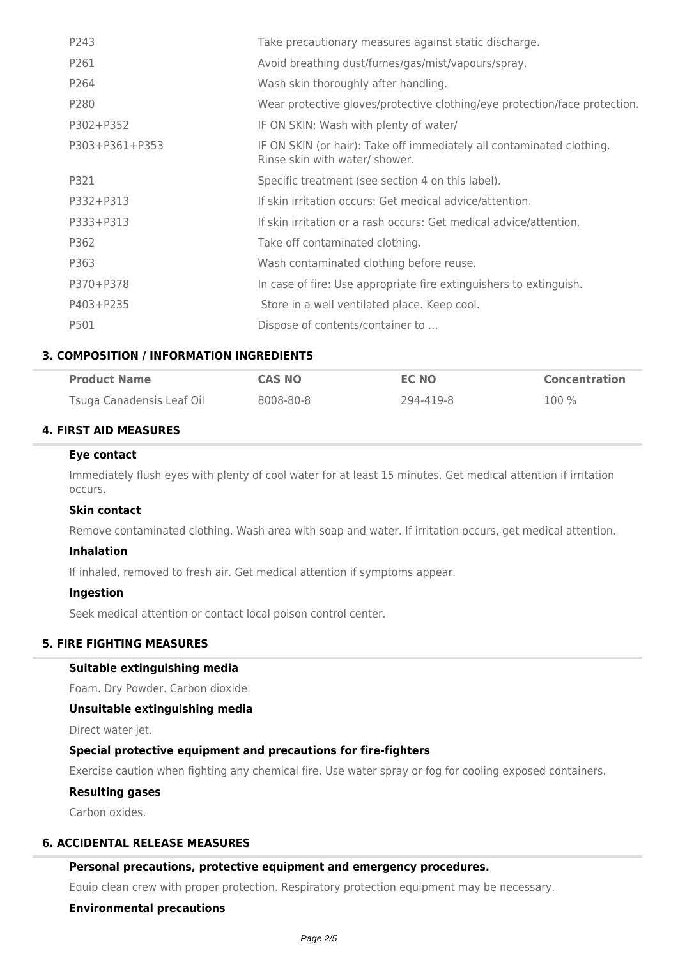| P243           | Take precautionary measures against static discharge.                                                   |
|----------------|---------------------------------------------------------------------------------------------------------|
| P261           | Avoid breathing dust/fumes/gas/mist/vapours/spray.                                                      |
| P264           | Wash skin thoroughly after handling.                                                                    |
| P280           | Wear protective gloves/protective clothing/eye protection/face protection.                              |
| P302+P352      | IF ON SKIN: Wash with plenty of water/                                                                  |
| P303+P361+P353 | IF ON SKIN (or hair): Take off immediately all contaminated clothing.<br>Rinse skin with water/ shower. |
| P321           | Specific treatment (see section 4 on this label).                                                       |
| P332+P313      | If skin irritation occurs: Get medical advice/attention.                                                |
| P333+P313      | If skin irritation or a rash occurs: Get medical advice/attention.                                      |
| P362           | Take off contaminated clothing.                                                                         |
| P363           | Wash contaminated clothing before reuse.                                                                |
| P370+P378      | In case of fire: Use appropriate fire extinguishers to extinguish.                                      |
| P403+P235      | Store in a well ventilated place. Keep cool.                                                            |
| P501           | Dispose of contents/container to                                                                        |

# **3. COMPOSITION / INFORMATION INGREDIENTS**

| <b>Product Name</b>       | <b>CAS NO</b> | EC NO     | <b>Concentration</b> |
|---------------------------|---------------|-----------|----------------------|
| Tsuga Canadensis Leaf Oil | 8008-80-8     | 294-419-8 | $100\%$              |

# **4. FIRST AID MEASURES**

## **Eye contact**

Immediately flush eyes with plenty of cool water for at least 15 minutes. Get medical attention if irritation occurs.

### **Skin contact**

Remove contaminated clothing. Wash area with soap and water. If irritation occurs, get medical attention.

### **Inhalation**

If inhaled, removed to fresh air. Get medical attention if symptoms appear.

### **Ingestion**

Seek medical attention or contact local poison control center.

# **5. FIRE FIGHTING MEASURES**

## **Suitable extinguishing media**

Foam. Dry Powder. Carbon dioxide.

#### **Unsuitable extinguishing media**

Direct water jet.

### **Special protective equipment and precautions for fire-fighters**

Exercise caution when fighting any chemical fire. Use water spray or fog for cooling exposed containers.

# **Resulting gases**

Carbon oxides.

## **6. ACCIDENTAL RELEASE MEASURES**

# **Personal precautions, protective equipment and emergency procedures.**

Equip clean crew with proper protection. Respiratory protection equipment may be necessary.

# **Environmental precautions**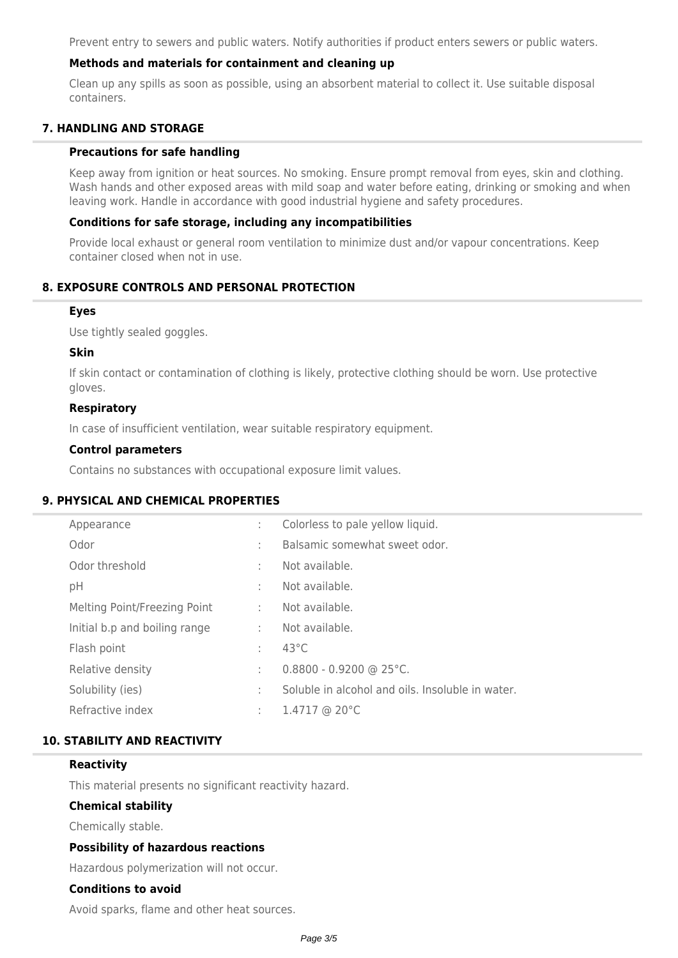Prevent entry to sewers and public waters. Notify authorities if product enters sewers or public waters.

# **Methods and materials for containment and cleaning up**

Clean up any spills as soon as possible, using an absorbent material to collect it. Use suitable disposal containers.

# **7. HANDLING AND STORAGE**

#### **Precautions for safe handling**

Keep away from ignition or heat sources. No smoking. Ensure prompt removal from eyes, skin and clothing. Wash hands and other exposed areas with mild soap and water before eating, drinking or smoking and when leaving work. Handle in accordance with good industrial hygiene and safety procedures.

### **Conditions for safe storage, including any incompatibilities**

Provide local exhaust or general room ventilation to minimize dust and/or vapour concentrations. Keep container closed when not in use.

# **8. EXPOSURE CONTROLS AND PERSONAL PROTECTION**

#### **Eyes**

Use tightly sealed goggles.

#### **Skin**

If skin contact or contamination of clothing is likely, protective clothing should be worn. Use protective gloves.

### **Respiratory**

In case of insufficient ventilation, wear suitable respiratory equipment.

### **Control parameters**

Contains no substances with occupational exposure limit values.

# **9. PHYSICAL AND CHEMICAL PROPERTIES**

| Appearance                    | ÷. | Colorless to pale yellow liquid.                 |
|-------------------------------|----|--------------------------------------------------|
| Odor                          | ÷. | Balsamic somewhat sweet odor.                    |
| Odor threshold                | ÷. | Not available.                                   |
| pH                            | ÷. | Not available.                                   |
| Melting Point/Freezing Point  | ÷  | Not available.                                   |
| Initial b.p and boiling range | ÷  | Not available.                                   |
| Flash point                   | ÷  | $43^{\circ}$ C                                   |
| Relative density              | ÷. | $0.8800 - 0.9200$ @ 25°C.                        |
| Solubility (ies)              | ÷. | Soluble in alcohol and oils. Insoluble in water. |
| Refractive index              | ÷. | $1.4717$ @ 20 $^{\circ}$ C                       |
|                               |    |                                                  |

### **10. STABILITY AND REACTIVITY**

## **Reactivity**

This material presents no significant reactivity hazard.

# **Chemical stability**

Chemically stable.

### **Possibility of hazardous reactions**

Hazardous polymerization will not occur.

#### **Conditions to avoid**

Avoid sparks, flame and other heat sources.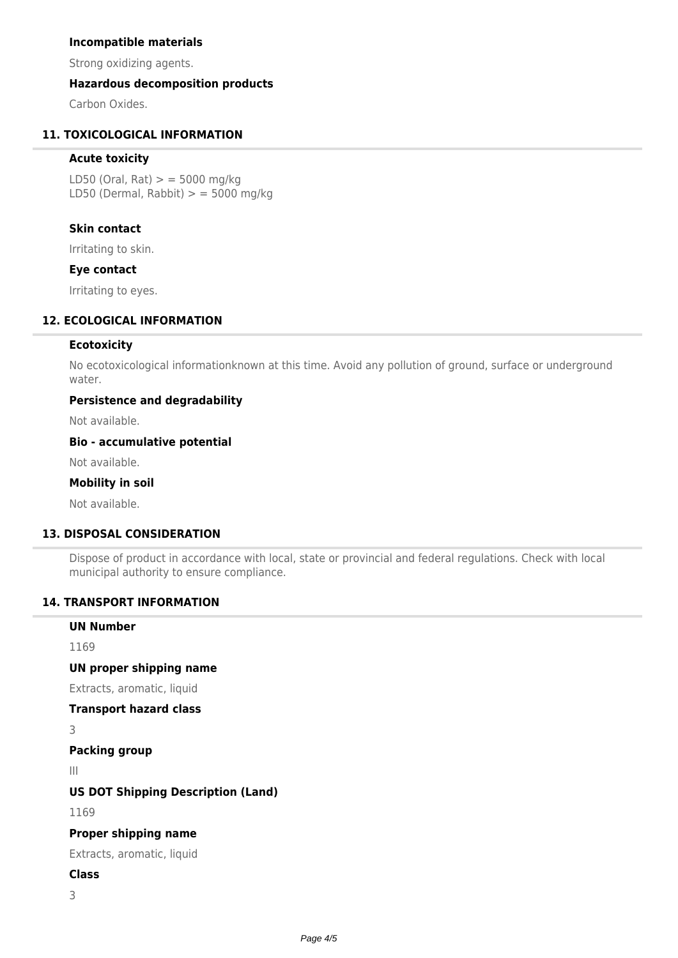## **Incompatible materials**

Strong oxidizing agents.

# **Hazardous decomposition products**

Carbon Oxides.

# **11. TOXICOLOGICAL INFORMATION**

# **Acute toxicity**

LD50 (Oral, Rat)  $>$  = 5000 mg/kg LD50 (Dermal, Rabbit)  $>$  = 5000 mg/kg

# **Skin contact**

Irritating to skin.

### **Eye contact**

Irritating to eyes.

# **12. ECOLOGICAL INFORMATION**

# **Ecotoxicity**

No ecotoxicological informationknown at this time. Avoid any pollution of ground, surface or underground water.

# **Persistence and degradability**

Not available.

#### **Bio - accumulative potential**

Not available.

# **Mobility in soil**

Not available.

# **13. DISPOSAL CONSIDERATION**

Dispose of product in accordance with local, state or provincial and federal regulations. Check with local municipal authority to ensure compliance.

# **14. TRANSPORT INFORMATION**

# **UN Number** 1169 **UN proper shipping name** Extracts, aromatic, liquid

**Transport hazard class**

3

# **Packing group**

III

### **US DOT Shipping Description (Land)**

1169

### **Proper shipping name**

Extracts, aromatic, liquid

# **Class**

3